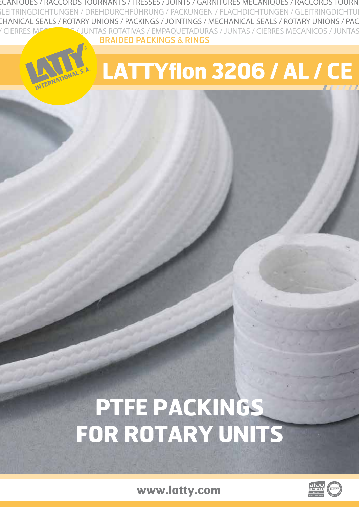INTS / TRESSES / JOINTS / GARNITURES MECANIQUES / RACCORDS TOURNANTS / TRESSES / JOINTS / GARNITURES MECANIQUES / RACCORDS TOURNANTS LEITRINGDICHTUNGEN / DREHDURCHFÜHRUNG / PACKUNGEN / FLACHDICHTUNGEN / GLEITRINGDICHTU CHANICAL SEALS / ROTARY UNIONS / PACKINGS / JOINTINGS / MECHANICAL SEALS / ROTARY UNIONS / PAC OTATIVAS / EMPAQUETADURAS / JUNTAS / CIERRES MECANICOS / JUNTAS ROTATIVAS / EMPAQUETADURAS / JUNTAS / CIERRES MECANICOS / JUNTAS ROTATIV BRAIDED PACKINGS & RINGS

# **LATTYflon 3206 / AL / CE**

## **PTFE PACKINGS FOR ROTARY UNITS**

**www.latty.com**